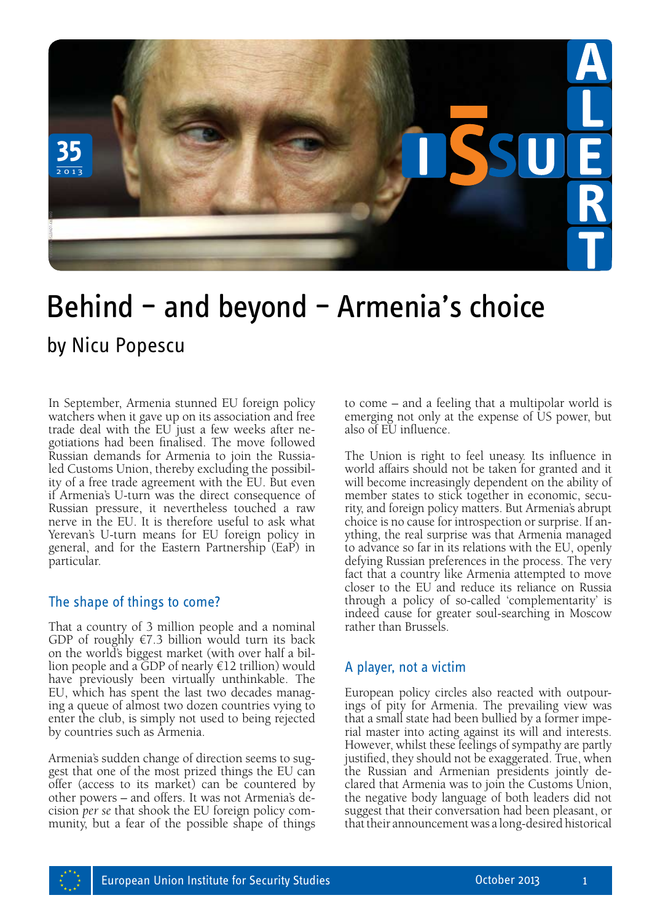

## Behind – and beyond – Armenia's choice

In September, Armenia stunned EU foreign policy watchers when it gave up on its association and free trade deal with the EU just a few weeks after negotiations had been finalised. The move followed Russian demands for Armenia to join the Russialed Customs Union, thereby excluding the possibility of a free trade agreement with the EU. But even if Armenia's U-turn was the direct consequence of Russian pressure, it nevertheless touched a raw nerve in the EU. It is therefore useful to ask what Yerevan's U-turn means for EU foreign policy in general, and for the Eastern Partnership (EaP) in particular.

## The shape of things to come?

That a country of 3 million people and a nominal GDP of roughly  $\epsilon$ 7.3 billion would turn its back on the world's biggest market (with over half a bil lion people and a GDP of nearly  $\in$ 12 trillion) would have previously been virtually unthinkable. The EU, which has spent the last two decades manag ing a queue of almost two dozen countries vying to enter the club, is simply not used to being rejected by countries such as Armenia.

Armenia's sudden change of direction seems to suggest that one of the most prized things the EU can offer (access to its market) can be countered by other powers – and offers. It was not Armenia's decision *per se* that shook the EU foreign policy community, but a fear of the possible shape of things

to come – and a feeling that a multipolar world is emerging not only at the expense of US power, but also of EU influence.

The Union is right to feel uneasy. Its influence in world affairs should not be taken for granted and it will become increasingly dependent on the ability of member states to stick together in economic, security, and foreign policy matters. But Armenia's abrupt choice is no cause for introspection or surprise. If anything, the real surprise was that Armenia managed to advance so far in its relations with the EU, openly defying Russian preferences in the process. The very fact that a country like Armenia attempted to move closer to the EU and reduce its reliance on Russia through a policy of so-called 'complementarity' is indeed cause for greater soul-searching in Moscow rather than Brussels.

## A player, not a victim

European policy circles also reacted with outpourings of pity for Armenia. The prevailing view was that a small state had been bullied by a former imperial master into acting against its will and interests. However, whilst these feelings of sympathy are partly justified, they should not be exaggerated. True, when the Russian and Armenian presidents jointly declared that Armenia was to join the Customs Union, the negative body language of both leaders did not suggest that their conversation had been pleasant, or that their announcement was a long-desired historical